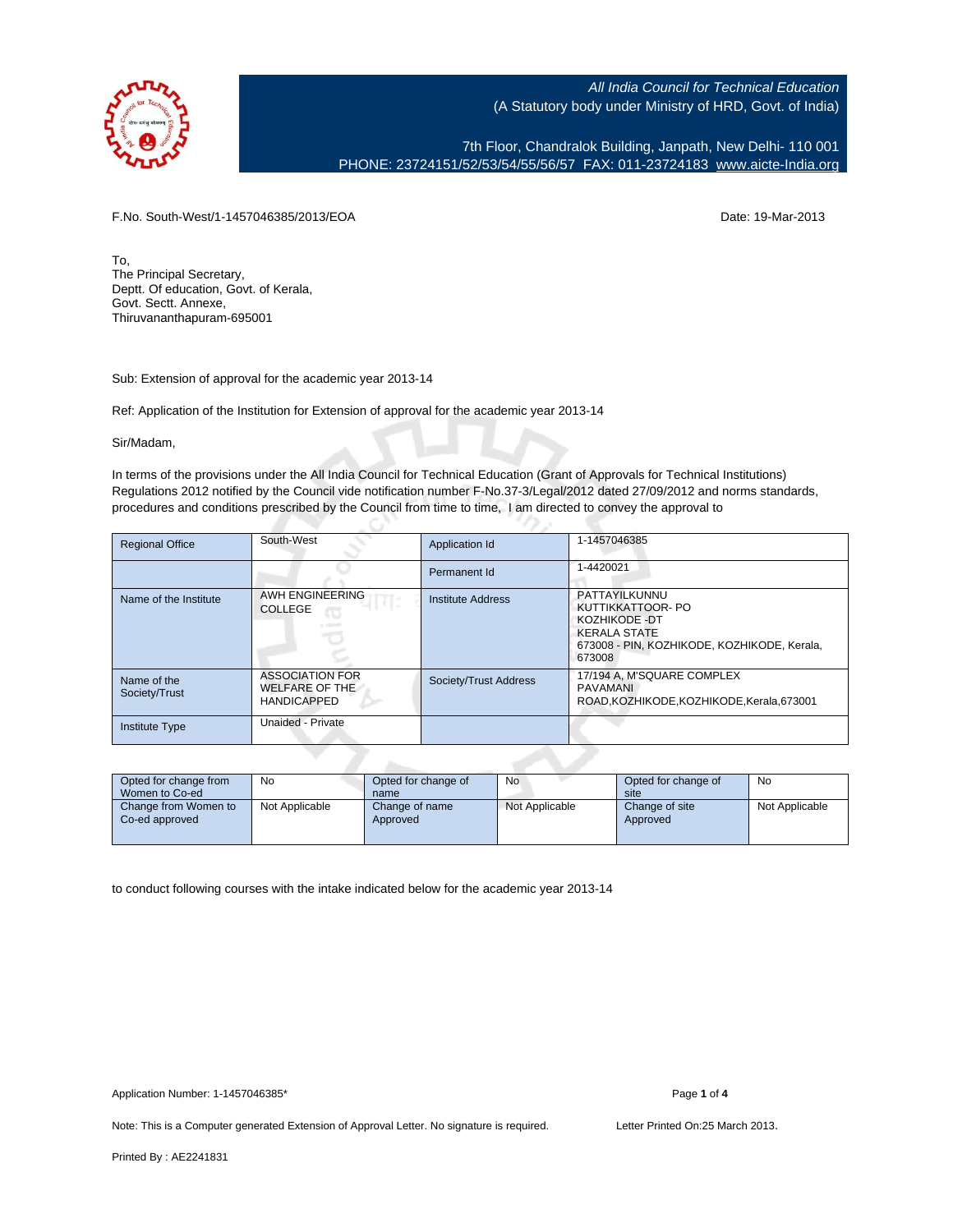

7th Floor, Chandralok Building, Janpath, New Delhi- 110 001 PHONE: 23724151/52/53/54/55/56/57 FAX: 011-23724183 [www.aicte-India.org](http://www.aicte-India.org)

F.No. South-West/1-1457046385/2013/EOA Date: 19-Mar-2013

To, The Principal Secretary, Deptt. Of education, Govt. of Kerala, Govt. Sectt. Annexe, Thiruvananthapuram-695001

Sub: Extension of approval for the academic year 2013-14

Ref: Application of the Institution for Extension of approval for the academic year 2013-14

G

Sir/Madam,

In terms of the provisions under the All India Council for Technical Education (Grant of Approvals for Technical Institutions) Regulations 2012 notified by the Council vide notification number F-No.37-3/Legal/2012 dated 27/09/2012 and norms standards, procedures and conditions prescribed by the Council from time to time, I am directed to convey the approval to

| <b>Regional Office</b>       | South-West                                                            | Application Id        | 1-1457046385                                                                                                                        |
|------------------------------|-----------------------------------------------------------------------|-----------------------|-------------------------------------------------------------------------------------------------------------------------------------|
|                              |                                                                       | Permanent Id          | 1-4420021                                                                                                                           |
| Name of the Institute        | AWH ENGINEERING<br><b>COLLEGE</b><br>œ                                | Institute Address     | PATTAYILKUNNU<br>KUTTIKKATTOOR- PO<br>KOZHIKODE -DT<br><b>KERALA STATE</b><br>673008 - PIN, KOZHIKODE, KOZHIKODE, Kerala,<br>673008 |
| Name of the<br>Society/Trust | <b>ASSOCIATION FOR</b><br><b>WELFARE OF THE</b><br><b>HANDICAPPED</b> | Society/Trust Address | 17/194 A, M'SQUARE COMPLEX<br>PAVAMANI<br>ROAD.KOZHIKODE.KOZHIKODE.Kerala.673001                                                    |
| <b>Institute Type</b>        | Unaided - Private                                                     |                       |                                                                                                                                     |

| Opted for change from<br>Women to Co-ed | No             | Opted for change of<br>name | No             | Opted for change of<br>site | No             |
|-----------------------------------------|----------------|-----------------------------|----------------|-----------------------------|----------------|
| Change from Women to<br>Co-ed approved  | Not Applicable | Change of name<br>Approved  | Not Applicable | Change of site<br>Approved  | Not Applicable |

to conduct following courses with the intake indicated below for the academic year 2013-14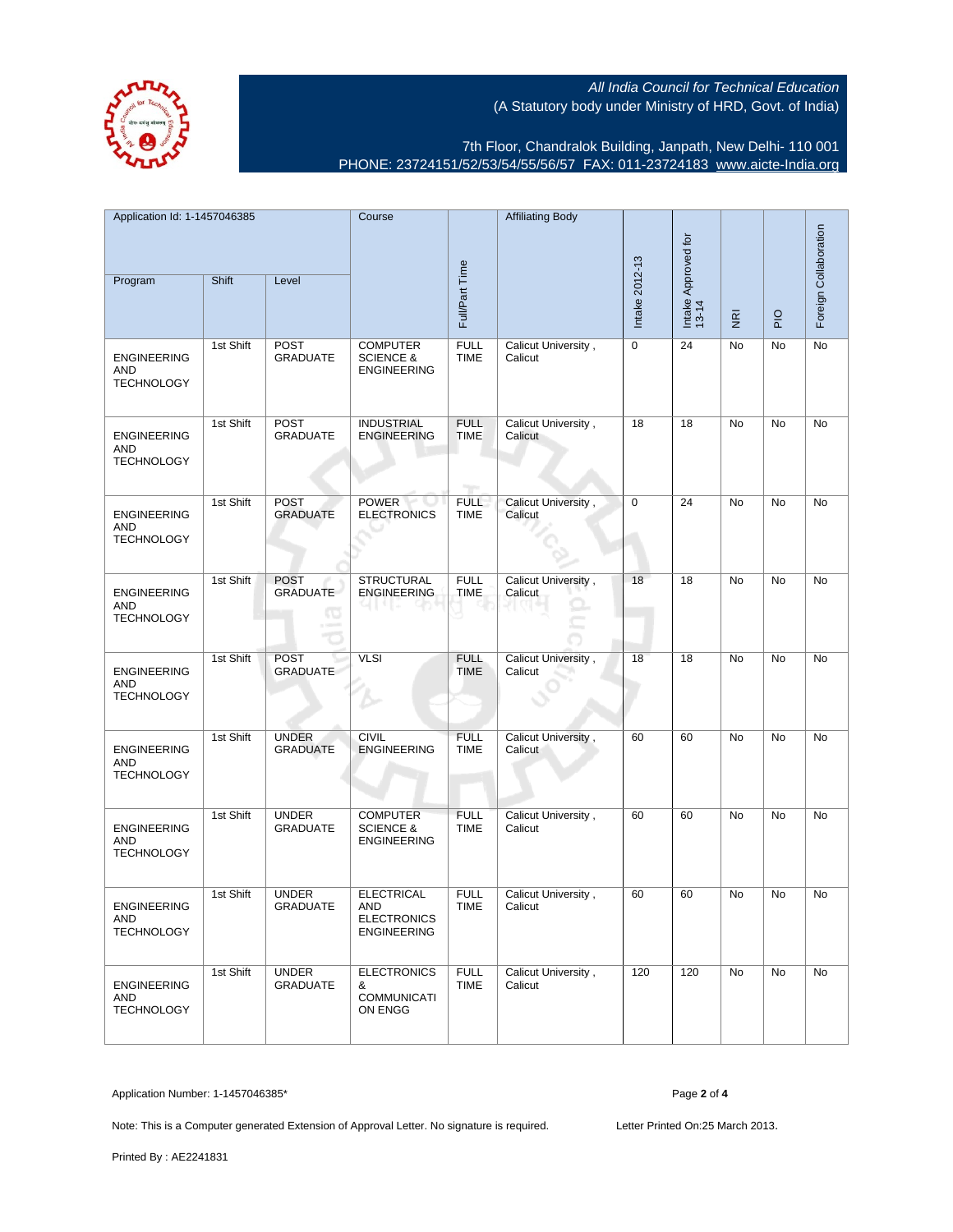

7th Floor, Chandralok Building, Janpath, New Delhi- 110 001 PHONE: 23724151/52/53/54/55/56/57 FAX: 011-23724183 [www.aicte-India.org](http://www.aicte-India.org)

| Application Id: 1-1457046385<br>Shift<br>Program<br>Level |           | Course<br>Full/Part Time            |                                                                      | <b>Affiliating Body</b>    | Intake 2012-13                 | Intake Approved for<br>13-14 |                |             | Foreign Collaboration |    |
|-----------------------------------------------------------|-----------|-------------------------------------|----------------------------------------------------------------------|----------------------------|--------------------------------|------------------------------|----------------|-------------|-----------------------|----|
|                                                           |           |                                     |                                                                      |                            |                                |                              | $\overline{g}$ | $rac{O}{P}$ |                       |    |
| <b>ENGINEERING</b><br><b>AND</b><br><b>TECHNOLOGY</b>     | 1st Shift | <b>POST</b><br><b>GRADUATE</b>      | <b>COMPUTER</b><br><b>SCIENCE &amp;</b><br><b>ENGINEERING</b>        | <b>FULL</b><br><b>TIME</b> | Calicut University,<br>Calicut | 0                            | 24             | No          | No                    | No |
| <b>ENGINEERING</b><br>AND<br><b>TECHNOLOGY</b>            | 1st Shift | POST<br><b>GRADUATE</b>             | <b>INDUSTRIAL</b><br><b>ENGINEERING</b>                              | <b>FULL</b><br><b>TIME</b> | Calicut University,<br>Calicut | 18                           | 18             | No          | No                    | No |
| <b>ENGINEERING</b><br>AND<br><b>TECHNOLOGY</b>            | 1st Shift | <b>POST</b><br><b>GRADUATE</b>      | <b>POWER</b><br><b>ELECTRONICS</b>                                   | <b>FULL</b><br><b>TIME</b> | Calicut University,<br>Calicut | $\mathbf 0$                  | 24             | No          | No                    | No |
| <b>ENGINEERING</b><br>AND<br><b>TECHNOLOGY</b>            | 1st Shift | <b>POST</b><br><b>GRADUATE</b><br>œ | <b>STRUCTURAL</b><br><b>ENGINEERING</b>                              | <b>FULL</b><br><b>TIME</b> | Calicut University,<br>Calicut | 18                           | 18             | No          | <b>No</b>             | No |
| <b>ENGINEERING</b><br><b>AND</b><br><b>TECHNOLOGY</b>     | 1st Shift | <b>POST</b><br><b>GRADUATE</b>      | <b>VLSI</b>                                                          | <b>FULL</b><br><b>TIME</b> | Calicut University,<br>Calicut | 18                           | 18             | No          | No                    | No |
| <b>ENGINEERING</b><br>AND<br><b>TECHNOLOGY</b>            | 1st Shift | <b>UNDER</b><br><b>GRADUATE</b>     | <b>CIVIL</b><br><b>ENGINEERING</b>                                   | <b>FULL</b><br><b>TIME</b> | Calicut University,<br>Calicut | 60                           | 60             | No          | No                    | No |
| <b>ENGINEERING</b><br>AND<br><b>TECHNOLOGY</b>            | 1st Shift | <b>UNDER</b><br><b>GRADUATE</b>     | <b>COMPUTER</b><br><b>SCIENCE &amp;</b><br><b>ENGINEERING</b>        | <b>FULL</b><br><b>TIME</b> | Calicut University,<br>Calicut | 60                           | 60             | No          | No                    | No |
| <b>ENGINEERING</b><br>AND<br><b>TECHNOLOGY</b>            | 1st Shift | <b>UNDER</b><br><b>GRADUATE</b>     | <b>ELECTRICAL</b><br>AND<br><b>ELECTRONICS</b><br><b>ENGINEERING</b> | <b>FULL</b><br>TIME        | Calicut University,<br>Calicut | 60                           | 60             | No          | No                    | No |
| <b>ENGINEERING</b><br>AND<br><b>TECHNOLOGY</b>            | 1st Shift | <b>UNDER</b><br><b>GRADUATE</b>     | <b>ELECTRONICS</b><br>&<br><b>COMMUNICATI</b><br>ON ENGG             | <b>FULL</b><br><b>TIME</b> | Calicut University,<br>Calicut | 120                          | 120            | No          | No                    | No |

Application Number: 1-1457046385\* Page **2** of **4**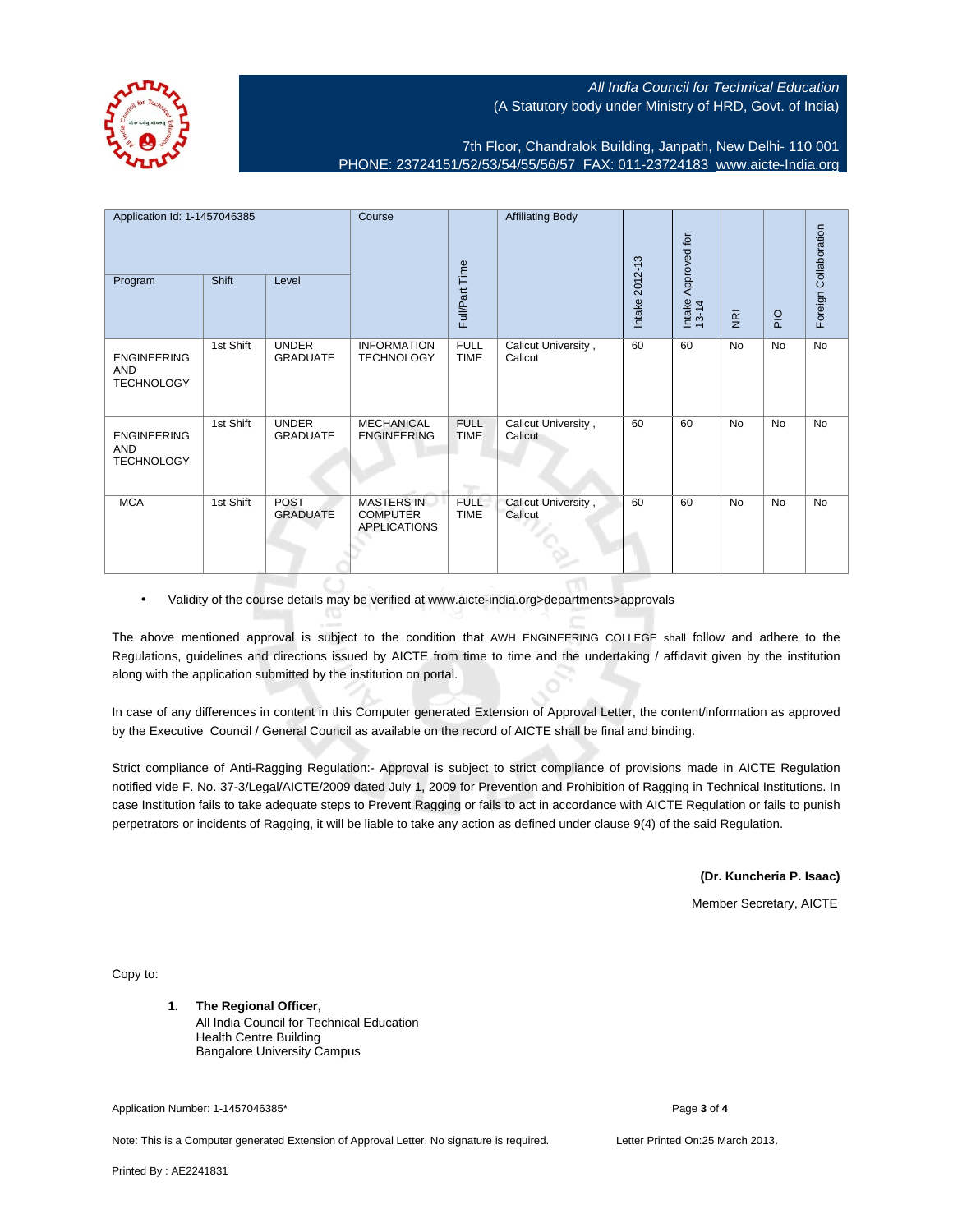7th Floor, Chandralok Building, Janpath, New Delhi- 110 001 PHONE: 23724151/52/53/54/55/56/57 FAX: 011-23724183 [www.aicte-India.org](http://www.aicte-India.org)

| Application Id: 1-1457046385<br>Shift<br>Program<br>Level |           | Course                          |                                                             | <b>Affiliating Body</b>    |                                | Approved for   |                 |                         | Foreign Collaboration |           |
|-----------------------------------------------------------|-----------|---------------------------------|-------------------------------------------------------------|----------------------------|--------------------------------|----------------|-----------------|-------------------------|-----------------------|-----------|
|                                                           |           |                                 |                                                             | Full/Part Time             |                                | Intake 2012-13 | Intake<br>13-14 | $\overline{\mathbf{g}}$ | $rac{O}{P}$           |           |
| <b>ENGINEERING</b><br><b>AND</b><br><b>TECHNOLOGY</b>     | 1st Shift | <b>UNDER</b><br><b>GRADUATE</b> | <b>INFORMATION</b><br><b>TECHNOLOGY</b>                     | <b>FULL</b><br><b>TIME</b> | Calicut University,<br>Calicut | 60             | 60              | <b>No</b>               | No                    | No        |
| <b>ENGINEERING</b><br>AND<br><b>TECHNOLOGY</b>            | 1st Shift | <b>UNDER</b><br><b>GRADUATE</b> | <b>MECHANICAL</b><br><b>ENGINEERING</b>                     | <b>FULL</b><br><b>TIME</b> | Calicut University,<br>Calicut | 60             | 60              | No                      | No                    | No        |
| <b>MCA</b>                                                | 1st Shift | POST<br><b>GRADUATE</b>         | <b>MASTERS IN</b><br><b>COMPUTER</b><br><b>APPLICATIONS</b> | <b>FULL</b><br><b>TIME</b> | Calicut University,<br>Calicut | 60             | 60              | <b>No</b>               | <b>No</b>             | <b>No</b> |

• Validity of the course details may be verified at www.aicte-india.org>departments>approvals

The above mentioned approval is subject to the condition that AWH ENGINEERING COLLEGE shall follow and adhere to the Regulations, guidelines and directions issued by AICTE from time to time and the undertaking / affidavit given by the institution along with the application submitted by the institution on portal.

In case of any differences in content in this Computer generated Extension of Approval Letter, the content/information as approved by the Executive Council / General Council as available on the record of AICTE shall be final and binding.

Strict compliance of Anti-Ragging Regulation:- Approval is subject to strict compliance of provisions made in AICTE Regulation notified vide F. No. 37-3/Legal/AICTE/2009 dated July 1, 2009 for Prevention and Prohibition of Ragging in Technical Institutions. In case Institution fails to take adequate steps to Prevent Ragging or fails to act in accordance with AICTE Regulation or fails to punish perpetrators or incidents of Ragging, it will be liable to take any action as defined under clause 9(4) of the said Regulation.

**(Dr. Kuncheria P. Isaac)**

Member Secretary, AICTE

Copy to:

**1. The Regional Officer,** All India Council for Technical Education Health Centre Building Bangalore University Campus

Application Number: 1-1457046385\* Page **3** of **4**